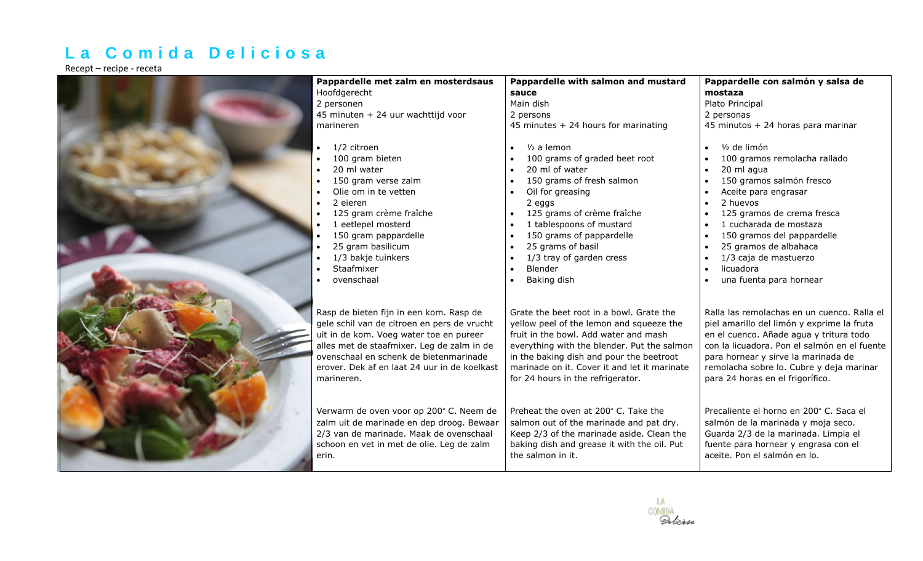## **L a C o m i d a D e l i c i o s a**

Recept – recipe - receta

| Pappardelle met zalm en mosterdsaus                                                                                                                                                                                                                                                                                                                                             | Pappardelle with salmon and mustard                                                                                                                                                                                                                                                                                                                                                              | Pappardelle con salmón y salsa de                                                                                                                                                                                                                                                                                                                                                            |
|---------------------------------------------------------------------------------------------------------------------------------------------------------------------------------------------------------------------------------------------------------------------------------------------------------------------------------------------------------------------------------|--------------------------------------------------------------------------------------------------------------------------------------------------------------------------------------------------------------------------------------------------------------------------------------------------------------------------------------------------------------------------------------------------|----------------------------------------------------------------------------------------------------------------------------------------------------------------------------------------------------------------------------------------------------------------------------------------------------------------------------------------------------------------------------------------------|
| Hoofdgerecht                                                                                                                                                                                                                                                                                                                                                                    | sauce                                                                                                                                                                                                                                                                                                                                                                                            | mostaza                                                                                                                                                                                                                                                                                                                                                                                      |
| 2 personen                                                                                                                                                                                                                                                                                                                                                                      | Main dish                                                                                                                                                                                                                                                                                                                                                                                        | Plato Principal                                                                                                                                                                                                                                                                                                                                                                              |
| 45 minuten + 24 uur wachttijd voor                                                                                                                                                                                                                                                                                                                                              | 2 persons                                                                                                                                                                                                                                                                                                                                                                                        | 2 personas                                                                                                                                                                                                                                                                                                                                                                                   |
| marineren                                                                                                                                                                                                                                                                                                                                                                       | 45 minutes + 24 hours for marinating                                                                                                                                                                                                                                                                                                                                                             | 45 minutos + 24 horas para marinar                                                                                                                                                                                                                                                                                                                                                           |
| 1/2 citroen<br>100 gram bieten<br>20 ml water<br>150 gram verse zalm<br>$\bullet$<br>Olie om in te vetten<br>$\bullet$<br>2 eieren<br>$\bullet$<br>125 gram crème fraîche<br>1 eetlepel mosterd<br>150 gram pappardelle<br>25 gram basilicum<br>1/3 bakje tuinkers<br>Staafmixer<br>ovenschaal                                                                                  | $1/2$ a lemon<br>100 grams of graded beet root<br>20 ml of water<br>$\bullet$<br>150 grams of fresh salmon<br>Oil for greasing<br>$\bullet$<br>2 eggs<br>125 grams of crème fraîche<br>1 tablespoons of mustard<br>150 grams of pappardelle<br>25 grams of basil<br>$\bullet$<br>1/3 tray of garden cress<br>Blender<br>$\bullet$<br>Baking dish                                                 | 1/2 de limón<br>100 gramos remolacha rallado<br>20 ml agua<br>150 gramos salmón fresco<br>Aceite para engrasar<br>2 huevos<br>125 gramos de crema fresca<br>1 cucharada de mostaza<br>150 gramos del pappardelle<br>25 gramos de albahaca<br>1/3 caja de mastuerzo<br>licuadora<br>una fuenta para hornear                                                                                   |
| Rasp de bieten fijn in een kom. Rasp de<br>gele schil van de citroen en pers de vrucht<br>uit in de kom. Voeg water toe en pureer<br>alles met de staafmixer. Leg de zalm in de<br>ovenschaal en schenk de bietenmarinade<br>erover. Dek af en laat 24 uur in de koelkast<br>marineren.<br>Verwarm de oven voor op 200° C. Neem de<br>zalm uit de marinade en dep droog. Bewaar | Grate the beet root in a bowl. Grate the<br>yellow peel of the lemon and squeeze the<br>fruit in the bowl. Add water and mash<br>everything with the blender. Put the salmon<br>in the baking dish and pour the beetroot<br>marinade on it. Cover it and let it marinate<br>for 24 hours in the refrigerator.<br>Preheat the oven at 200° C. Take the<br>salmon out of the marinade and pat dry. | Ralla las remolachas en un cuenco. Ralla el<br>piel amarillo del limón y exprime la fruta<br>en el cuenco. Añade agua y tritura todo<br>con la licuadora. Pon el salmón en el fuente<br>para hornear y sirve la marinada de<br>remolacha sobre lo. Cubre y deja marinar<br>para 24 horas en el frigorífico.<br>Precaliente el horno en 200° C. Saca el<br>salmón de la marinada y moja seco. |
| 2/3 van de marinade. Maak de ovenschaal<br>schoon en vet in met de olie. Leg de zalm<br>erin.                                                                                                                                                                                                                                                                                   | Keep 2/3 of the marinade aside. Clean the<br>baking dish and grease it with the oil. Put<br>the salmon in it.                                                                                                                                                                                                                                                                                    | Guarda 2/3 de la marinada. Limpia el<br>fuente para hornear y engrasa con el<br>aceite. Pon el salmón en lo.                                                                                                                                                                                                                                                                                 |